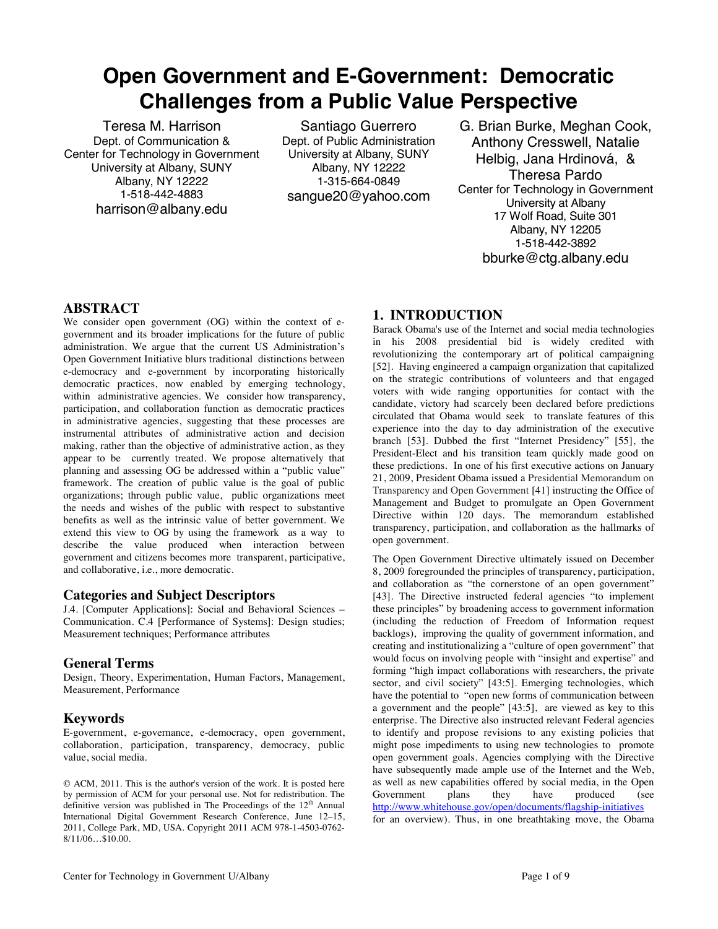# **Open Government and E-Government: Democratic Challenges from a Public Value Perspective**

Teresa M. Harrison Dept. of Communication & Center for Technology in Government University at Albany, SUNY Albany, NY 12222 1-518-442-4883 harrison@albany.edu

Santiago Guerrero Dept. of Public Administration University at Albany, SUNY Albany, NY 12222 1-315-664-0849 sangue20@yahoo.com

G. Brian Burke, Meghan Cook, Anthony Cresswell, Natalie Helbig, Jana Hrdinová, & Theresa Pardo Center for Technology in Government University at Albany 17 Wolf Road, Suite 301 Albany, NY 12205 1-518-442-3892 bburke@ctg.albany.edu

#### **ABSTRACT**

We consider open government (OG) within the context of egovernment and its broader implications for the future of public administration. We argue that the current US Administration's Open Government Initiative blurs traditional distinctions between e-democracy and e-government by incorporating historically democratic practices, now enabled by emerging technology, within administrative agencies. We consider how transparency, participation, and collaboration function as democratic practices in administrative agencies, suggesting that these processes are instrumental attributes of administrative action and decision making, rather than the objective of administrative action, as they appear to be currently treated. We propose alternatively that planning and assessing OG be addressed within a "public value" framework. The creation of public value is the goal of public organizations; through public value, public organizations meet the needs and wishes of the public with respect to substantive benefits as well as the intrinsic value of better government. We extend this view to OG by using the framework as a way to describe the value produced when interaction between government and citizens becomes more transparent, participative, and collaborative, i.e., more democratic.

#### **Categories and Subject Descriptors**

J.4. [Computer Applications]: Social and Behavioral Sciences – Communication. C.4 [Performance of Systems]: Design studies; Measurement techniques; Performance attributes

#### **General Terms**

Design, Theory, Experimentation, Human Factors, Management, Measurement, Performance

#### **Keywords**

E-government, e-governance, e-democracy, open government, collaboration, participation, transparency, democracy, public value, social media.

© ACM, 2011. This is the author's version of the work. It is posted here by permission of ACM for your personal use. Not for redistribution. The definitive version was published in The Proceedings of the 12<sup>th</sup> Annual International Digital Government Research Conference, June 12–15, 2011, College Park, MD, USA. Copyright 2011 ACM 978-1-4503-0762- 8/11/06…\$10.00.

# **1. INTRODUCTION**

Barack Obama's use of the Internet and social media technologies in his 2008 presidential bid is widely credited with revolutionizing the contemporary art of political campaigning [52]. Having engineered a campaign organization that capitalized on the strategic contributions of volunteers and that engaged voters with wide ranging opportunities for contact with the candidate, victory had scarcely been declared before predictions circulated that Obama would seek to translate features of this experience into the day to day administration of the executive branch [53]. Dubbed the first "Internet Presidency" [55], the President-Elect and his transition team quickly made good on these predictions. In one of his first executive actions on January 21, 2009, President Obama issued a Presidential Memorandum on Transparency and Open Government [41] instructing the Office of Management and Budget to promulgate an Open Government Directive within 120 days. The memorandum established transparency, participation, and collaboration as the hallmarks of open government.

The Open Government Directive ultimately issued on December 8, 2009 foregrounded the principles of transparency, participation, and collaboration as "the cornerstone of an open government" [43]. The Directive instructed federal agencies "to implement these principles" by broadening access to government information (including the reduction of Freedom of Information request backlogs), improving the quality of government information, and creating and institutionalizing a "culture of open government" that would focus on involving people with "insight and expertise" and forming "high impact collaborations with researchers, the private sector, and civil society" [43:5]. Emerging technologies, which have the potential to "open new forms of communication between a government and the people" [43:5], are viewed as key to this enterprise. The Directive also instructed relevant Federal agencies to identify and propose revisions to any existing policies that might pose impediments to using new technologies to promote open government goals. Agencies complying with the Directive have subsequently made ample use of the Internet and the Web, as well as new capabilities offered by social media, in the Open<br>Government plans they have produced (see  $produced$  (see http://www.whitehouse.gov/open/documents/flagship-initiatives for an overview). Thus, in one breathtaking move, the Obama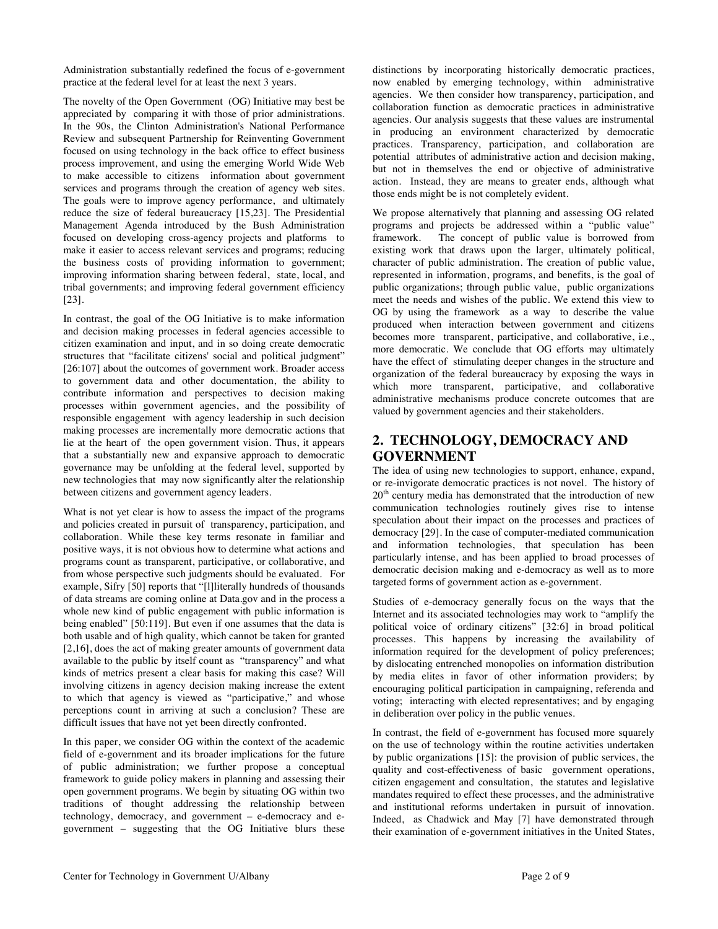Administration substantially redefined the focus of e-government practice at the federal level for at least the next 3 years.

The novelty of the Open Government (OG) Initiative may best be appreciated by comparing it with those of prior administrations. In the 90s, the Clinton Administration's National Performance Review and subsequent Partnership for Reinventing Government focused on using technology in the back office to effect business process improvement, and using the emerging World Wide Web to make accessible to citizens information about government services and programs through the creation of agency web sites. The goals were to improve agency performance, and ultimately reduce the size of federal bureaucracy [15,23]. The Presidential Management Agenda introduced by the Bush Administration focused on developing cross-agency projects and platforms to make it easier to access relevant services and programs; reducing the business costs of providing information to government; improving information sharing between federal, state, local, and tribal governments; and improving federal government efficiency [23].

In contrast, the goal of the OG Initiative is to make information and decision making processes in federal agencies accessible to citizen examination and input, and in so doing create democratic structures that "facilitate citizens' social and political judgment" [26:107] about the outcomes of government work. Broader access to government data and other documentation, the ability to contribute information and perspectives to decision making processes within government agencies, and the possibility of responsible engagement with agency leadership in such decision making processes are incrementally more democratic actions that lie at the heart of the open government vision. Thus, it appears that a substantially new and expansive approach to democratic governance may be unfolding at the federal level, supported by new technologies that may now significantly alter the relationship between citizens and government agency leaders.

What is not yet clear is how to assess the impact of the programs and policies created in pursuit of transparency, participation, and collaboration. While these key terms resonate in familiar and positive ways, it is not obvious how to determine what actions and programs count as transparent, participative, or collaborative, and from whose perspective such judgments should be evaluated. For example, Sifry [50] reports that "[l]literally hundreds of thousands of data streams are coming online at Data.gov and in the process a whole new kind of public engagement with public information is being enabled" [50:119]. But even if one assumes that the data is both usable and of high quality, which cannot be taken for granted [2,16], does the act of making greater amounts of government data available to the public by itself count as "transparency" and what kinds of metrics present a clear basis for making this case? Will involving citizens in agency decision making increase the extent to which that agency is viewed as "participative," and whose perceptions count in arriving at such a conclusion? These are difficult issues that have not yet been directly confronted.

In this paper, we consider OG within the context of the academic field of e-government and its broader implications for the future of public administration; we further propose a conceptual framework to guide policy makers in planning and assessing their open government programs. We begin by situating OG within two traditions of thought addressing the relationship between technology, democracy, and government – e-democracy and egovernment – suggesting that the OG Initiative blurs these distinctions by incorporating historically democratic practices, now enabled by emerging technology, within administrative agencies. We then consider how transparency, participation, and collaboration function as democratic practices in administrative agencies. Our analysis suggests that these values are instrumental in producing an environment characterized by democratic practices. Transparency, participation, and collaboration are potential attributes of administrative action and decision making, but not in themselves the end or objective of administrative action. Instead, they are means to greater ends, although what those ends might be is not completely evident.

We propose alternatively that planning and assessing OG related programs and projects be addressed within a "public value" framework. The concept of public value is borrowed from existing work that draws upon the larger, ultimately political, character of public administration. The creation of public value, represented in information, programs, and benefits, is the goal of public organizations; through public value, public organizations meet the needs and wishes of the public. We extend this view to OG by using the framework as a way to describe the value produced when interaction between government and citizens becomes more transparent, participative, and collaborative, i.e., more democratic. We conclude that OG efforts may ultimately have the effect of stimulating deeper changes in the structure and organization of the federal bureaucracy by exposing the ways in which more transparent, participative, and collaborative administrative mechanisms produce concrete outcomes that are valued by government agencies and their stakeholders.

## **2. TECHNOLOGY, DEMOCRACY AND GOVERNMENT**

The idea of using new technologies to support, enhance, expand, or re-invigorate democratic practices is not novel. The history of  $20<sup>th</sup>$  century media has demonstrated that the introduction of new communication technologies routinely gives rise to intense speculation about their impact on the processes and practices of democracy [29]. In the case of computer-mediated communication and information technologies, that speculation has been particularly intense, and has been applied to broad processes of democratic decision making and e-democracy as well as to more targeted forms of government action as e-government.

Studies of e-democracy generally focus on the ways that the Internet and its associated technologies may work to "amplify the political voice of ordinary citizens" [32:6] in broad political processes. This happens by increasing the availability of information required for the development of policy preferences; by dislocating entrenched monopolies on information distribution by media elites in favor of other information providers; by encouraging political participation in campaigning, referenda and voting; interacting with elected representatives; and by engaging in deliberation over policy in the public venues.

In contrast, the field of e-government has focused more squarely on the use of technology within the routine activities undertaken by public organizations [15]: the provision of public services, the quality and cost-effectiveness of basic government operations, citizen engagement and consultation, the statutes and legislative mandates required to effect these processes, and the administrative and institutional reforms undertaken in pursuit of innovation. Indeed, as Chadwick and May [7] have demonstrated through their examination of e-government initiatives in the United States,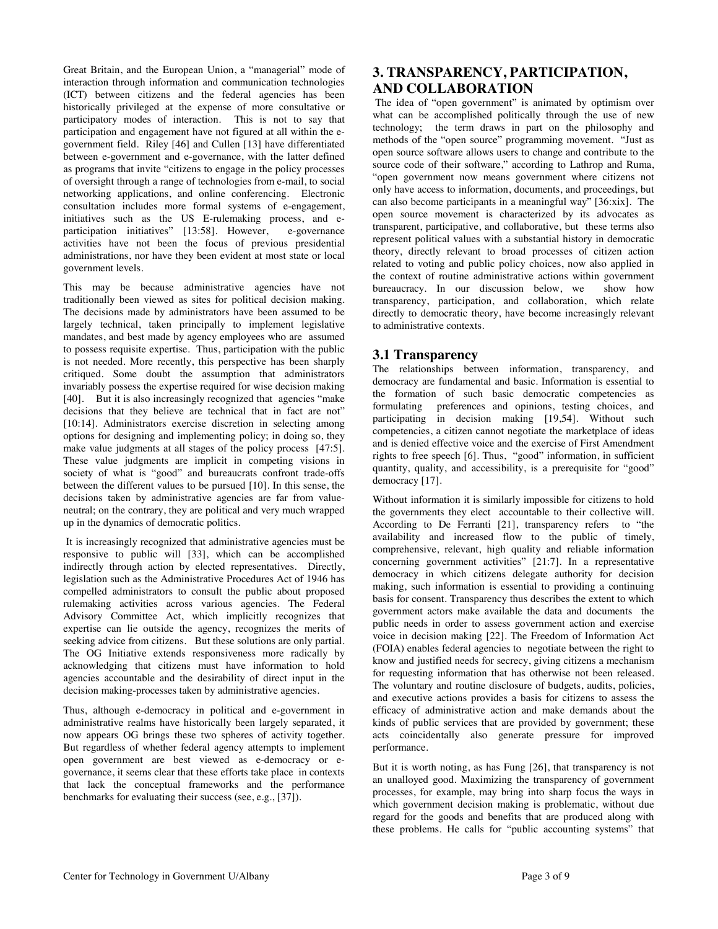Great Britain, and the European Union, a "managerial" mode of interaction through information and communication technologies (ICT) between citizens and the federal agencies has been historically privileged at the expense of more consultative or participatory modes of interaction. This is not to say that participation and engagement have not figured at all within the egovernment field. Riley [46] and Cullen [13] have differentiated between e-government and e-governance, with the latter defined as programs that invite "citizens to engage in the policy processes of oversight through a range of technologies from e-mail, to social networking applications, and online conferencing. Electronic consultation includes more formal systems of e-engagement, initiatives such as the US E-rulemaking process, and e-<br>participation initiatives" [13:58]. However, e-governance participation initiatives" [13:58]. However, activities have not been the focus of previous presidential administrations, nor have they been evident at most state or local government levels.

This may be because administrative agencies have not traditionally been viewed as sites for political decision making. The decisions made by administrators have been assumed to be largely technical, taken principally to implement legislative mandates, and best made by agency employees who are assumed to possess requisite expertise. Thus, participation with the public is not needed. More recently, this perspective has been sharply critiqued. Some doubt the assumption that administrators invariably possess the expertise required for wise decision making [40]. But it is also increasingly recognized that agencies "make" decisions that they believe are technical that in fact are not" [10:14]. Administrators exercise discretion in selecting among options for designing and implementing policy; in doing so, they make value judgments at all stages of the policy process [47:5]. These value judgments are implicit in competing visions in society of what is "good" and bureaucrats confront trade-offs between the different values to be pursued [10]. In this sense, the decisions taken by administrative agencies are far from valueneutral; on the contrary, they are political and very much wrapped up in the dynamics of democratic politics.

 It is increasingly recognized that administrative agencies must be responsive to public will [33], which can be accomplished indirectly through action by elected representatives. Directly, legislation such as the Administrative Procedures Act of 1946 has compelled administrators to consult the public about proposed rulemaking activities across various agencies. The Federal Advisory Committee Act, which implicitly recognizes that expertise can lie outside the agency, recognizes the merits of seeking advice from citizens. But these solutions are only partial. The OG Initiative extends responsiveness more radically by acknowledging that citizens must have information to hold agencies accountable and the desirability of direct input in the decision making-processes taken by administrative agencies.

Thus, although e-democracy in political and e-government in administrative realms have historically been largely separated, it now appears OG brings these two spheres of activity together. But regardless of whether federal agency attempts to implement open government are best viewed as e-democracy or egovernance, it seems clear that these efforts take place in contexts that lack the conceptual frameworks and the performance benchmarks for evaluating their success (see, e.g., [37]).

# **3. TRANSPARENCY, PARTICIPATION, AND COLLABORATION**

 The idea of "open government" is animated by optimism over what can be accomplished politically through the use of new technology; the term draws in part on the philosophy and methods of the "open source" programming movement. "Just as open source software allows users to change and contribute to the source code of their software," according to Lathrop and Ruma, "open government now means government where citizens not only have access to information, documents, and proceedings, but can also become participants in a meaningful way" [36:xix]. The open source movement is characterized by its advocates as transparent, participative, and collaborative, but these terms also represent political values with a substantial history in democratic theory, directly relevant to broad processes of citizen action related to voting and public policy choices, now also applied in the context of routine administrative actions within government<br>bureaucracy. In our discussion below, we show how bureaucracy. In our discussion below, we transparency, participation, and collaboration, which relate directly to democratic theory, have become increasingly relevant to administrative contexts.

**3.1 Transparency**<br>The relationships between information, transparency, and democracy are fundamental and basic. Information is essential to the formation of such basic democratic competencies as formulating preferences and opinions, testing choices, and participating in decision making [19,54]. Without such competencies, a citizen cannot negotiate the marketplace of ideas and is denied effective voice and the exercise of First Amendment rights to free speech [6]. Thus, "good" information, in sufficient quantity, quality, and accessibility, is a prerequisite for "good" democracy [17].

Without information it is similarly impossible for citizens to hold the governments they elect accountable to their collective will. According to De Ferranti [21], transparency refers to "the availability and increased flow to the public of timely, comprehensive, relevant, high quality and reliable information concerning government activities" [21:7]. In a representative democracy in which citizens delegate authority for decision making, such information is essential to providing a continuing basis for consent. Transparency thus describes the extent to which government actors make available the data and documents the public needs in order to assess government action and exercise voice in decision making [22]. The Freedom of Information Act (FOIA) enables federal agencies to negotiate between the right to know and justified needs for secrecy, giving citizens a mechanism for requesting information that has otherwise not been released. The voluntary and routine disclosure of budgets, audits, policies, and executive actions provides a basis for citizens to assess the efficacy of administrative action and make demands about the kinds of public services that are provided by government; these acts coincidentally also generate pressure for improved performance.

But it is worth noting, as has Fung [26], that transparency is not an unalloyed good. Maximizing the transparency of government processes, for example, may bring into sharp focus the ways in which government decision making is problematic, without due regard for the goods and benefits that are produced along with these problems. He calls for "public accounting systems" that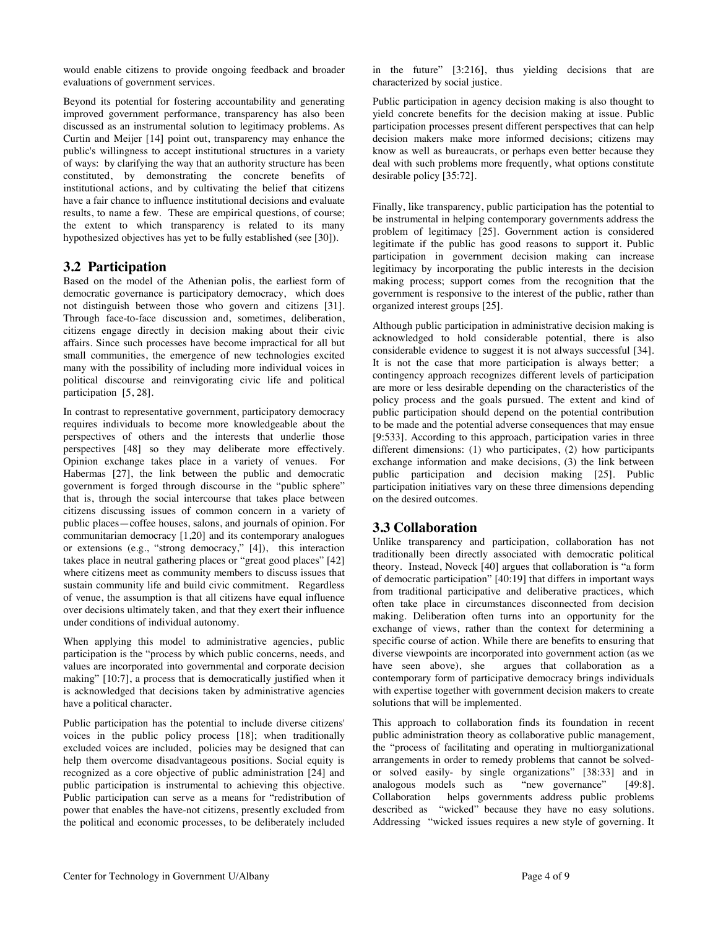would enable citizens to provide ongoing feedback and broader evaluations of government services.

Beyond its potential for fostering accountability and generating improved government performance, transparency has also been discussed as an instrumental solution to legitimacy problems. As Curtin and Meijer [14] point out, transparency may enhance the public's willingness to accept institutional structures in a variety of ways: by clarifying the way that an authority structure has been constituted, by demonstrating the concrete benefits of institutional actions, and by cultivating the belief that citizens have a fair chance to influence institutional decisions and evaluate results, to name a few. These are empirical questions, of course; the extent to which transparency is related to its many hypothesized objectives has yet to be fully established (see [30]).

#### **3.2 Participation**

Based on the model of the Athenian polis, the earliest form of democratic governance is participatory democracy, which does not distinguish between those who govern and citizens [31]. Through face-to-face discussion and, sometimes, deliberation, citizens engage directly in decision making about their civic affairs. Since such processes have become impractical for all but small communities, the emergence of new technologies excited many with the possibility of including more individual voices in political discourse and reinvigorating civic life and political participation [5, 28].

In contrast to representative government, participatory democracy requires individuals to become more knowledgeable about the perspectives of others and the interests that underlie those perspectives [48] so they may deliberate more effectively. Opinion exchange takes place in a variety of venues. For Habermas [27], the link between the public and democratic government is forged through discourse in the "public sphere" that is, through the social intercourse that takes place between citizens discussing issues of common concern in a variety of public places—coffee houses, salons, and journals of opinion. For communitarian democracy [1,20] and its contemporary analogues or extensions (e.g., "strong democracy," [4]), this interaction takes place in neutral gathering places or "great good places" [42] where citizens meet as community members to discuss issues that sustain community life and build civic commitment. Regardless of venue, the assumption is that all citizens have equal influence over decisions ultimately taken, and that they exert their influence under conditions of individual autonomy.

When applying this model to administrative agencies, public participation is the "process by which public concerns, needs, and values are incorporated into governmental and corporate decision making" [10:7], a process that is democratically justified when it is acknowledged that decisions taken by administrative agencies have a political character.

Public participation has the potential to include diverse citizens' voices in the public policy process [18]; when traditionally excluded voices are included, policies may be designed that can help them overcome disadvantageous positions. Social equity is recognized as a core objective of public administration [24] and public participation is instrumental to achieving this objective. Public participation can serve as a means for "redistribution of power that enables the have-not citizens, presently excluded from the political and economic processes, to be deliberately included in the future" [3:216], thus yielding decisions that are characterized by social justice.

Public participation in agency decision making is also thought to yield concrete benefits for the decision making at issue. Public participation processes present different perspectives that can help decision makers make more informed decisions; citizens may know as well as bureaucrats, or perhaps even better because they deal with such problems more frequently, what options constitute desirable policy [35:72].

Finally, like transparency, public participation has the potential to be instrumental in helping contemporary governments address the problem of legitimacy [25]. Government action is considered legitimate if the public has good reasons to support it. Public participation in government decision making can increase legitimacy by incorporating the public interests in the decision making process; support comes from the recognition that the government is responsive to the interest of the public, rather than organized interest groups [25].

Although public participation in administrative decision making is acknowledged to hold considerable potential, there is also considerable evidence to suggest it is not always successful [34]. It is not the case that more participation is always better; a contingency approach recognizes different levels of participation are more or less desirable depending on the characteristics of the policy process and the goals pursued. The extent and kind of public participation should depend on the potential contribution to be made and the potential adverse consequences that may ensue [9:533]. According to this approach, participation varies in three different dimensions: (1) who participates, (2) how participants exchange information and make decisions, (3) the link between public participation and decision making [25]. Public participation initiatives vary on these three dimensions depending on the desired outcomes.

#### **3.3 Collaboration**

Unlike transparency and participation, collaboration has not traditionally been directly associated with democratic political theory. Instead, Noveck [40] argues that collaboration is "a form of democratic participation" [40:19] that differs in important ways from traditional participative and deliberative practices, which often take place in circumstances disconnected from decision making. Deliberation often turns into an opportunity for the exchange of views, rather than the context for determining a specific course of action. While there are benefits to ensuring that diverse viewpoints are incorporated into government action (as we have seen above), she argues that collaboration as a contemporary form of participative democracy brings individuals with expertise together with government decision makers to create solutions that will be implemented.

This approach to collaboration finds its foundation in recent public administration theory as collaborative public management, the "process of facilitating and operating in multiorganizational arrangements in order to remedy problems that cannot be solvedor solved easily- by single organizations" [38:33] and in analogous models such as "new governance" [49:8]. Collaboration helps governments address public problems described as "wicked" because they have no easy solutions. Addressing "wicked issues requires a new style of governing. It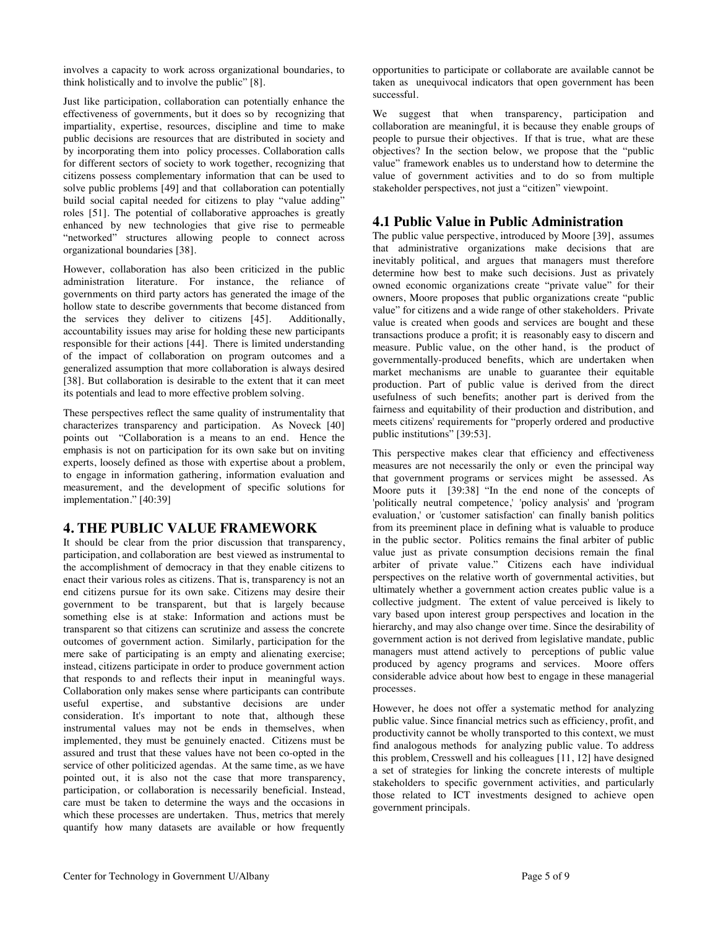involves a capacity to work across organizational boundaries, to think holistically and to involve the public" [8].

Just like participation, collaboration can potentially enhance the effectiveness of governments, but it does so by recognizing that impartiality, expertise, resources, discipline and time to make public decisions are resources that are distributed in society and by incorporating them into policy processes. Collaboration calls for different sectors of society to work together, recognizing that citizens possess complementary information that can be used to solve public problems [49] and that collaboration can potentially build social capital needed for citizens to play "value adding" roles [51]. The potential of collaborative approaches is greatly enhanced by new technologies that give rise to permeable "networked" structures allowing people to connect across organizational boundaries [38].

However, collaboration has also been criticized in the public administration literature. For instance, the reliance of governments on third party actors has generated the image of the hollow state to describe governments that become distanced from the services they deliver to citizens [45]. Additionally, accountability issues may arise for holding these new participants responsible for their actions [44]. There is limited understanding of the impact of collaboration on program outcomes and a generalized assumption that more collaboration is always desired [38]. But collaboration is desirable to the extent that it can meet its potentials and lead to more effective problem solving.

These perspectives reflect the same quality of instrumentality that characterizes transparency and participation. As Noveck [40] points out "Collaboration is a means to an end. Hence the emphasis is not on participation for its own sake but on inviting experts, loosely defined as those with expertise about a problem, to engage in information gathering, information evaluation and measurement, and the development of specific solutions for implementation." [40:39]

#### **4. THE PUBLIC VALUE FRAMEWORK**

It should be clear from the prior discussion that transparency, participation, and collaboration are best viewed as instrumental to the accomplishment of democracy in that they enable citizens to enact their various roles as citizens. That is, transparency is not an end citizens pursue for its own sake. Citizens may desire their government to be transparent, but that is largely because something else is at stake: Information and actions must be transparent so that citizens can scrutinize and assess the concrete outcomes of government action. Similarly, participation for the mere sake of participating is an empty and alienating exercise; instead, citizens participate in order to produce government action that responds to and reflects their input in meaningful ways. Collaboration only makes sense where participants can contribute useful expertise, and substantive decisions are under consideration. It's important to note that, although these instrumental values may not be ends in themselves, when implemented, they must be genuinely enacted. Citizens must be assured and trust that these values have not been co-opted in the service of other politicized agendas. At the same time, as we have pointed out, it is also not the case that more transparency, participation, or collaboration is necessarily beneficial. Instead, care must be taken to determine the ways and the occasions in which these processes are undertaken. Thus, metrics that merely quantify how many datasets are available or how frequently opportunities to participate or collaborate are available cannot be taken as unequivocal indicators that open government has been successful.

We suggest that when transparency, participation and collaboration are meaningful, it is because they enable groups of people to pursue their objectives. If that is true, what are these objectives? In the section below, we propose that the "public value" framework enables us to understand how to determine the value of government activities and to do so from multiple stakeholder perspectives, not just a "citizen" viewpoint.

#### **4.1 Public Value in Public Administration**

The public value perspective, introduced by Moore [39], assumes that administrative organizations make decisions that are inevitably political, and argues that managers must therefore determine how best to make such decisions. Just as privately owned economic organizations create "private value" for their owners, Moore proposes that public organizations create "public value" for citizens and a wide range of other stakeholders. Private value is created when goods and services are bought and these transactions produce a profit; it is reasonably easy to discern and measure. Public value, on the other hand, is the product of governmentally-produced benefits, which are undertaken when market mechanisms are unable to guarantee their equitable production. Part of public value is derived from the direct usefulness of such benefits; another part is derived from the fairness and equitability of their production and distribution, and meets citizens' requirements for "properly ordered and productive public institutions" [39:53].

This perspective makes clear that efficiency and effectiveness measures are not necessarily the only or even the principal way that government programs or services might be assessed. As Moore puts it [39:38] "In the end none of the concepts of 'politically neutral competence,' 'policy analysis' and 'program evaluation,' or 'customer satisfaction' can finally banish politics from its preeminent place in defining what is valuable to produce in the public sector. Politics remains the final arbiter of public value just as private consumption decisions remain the final arbiter of private value." Citizens each have individual perspectives on the relative worth of governmental activities, but ultimately whether a government action creates public value is a collective judgment. The extent of value perceived is likely to vary based upon interest group perspectives and location in the hierarchy, and may also change over time. Since the desirability of government action is not derived from legislative mandate, public managers must attend actively to perceptions of public value produced by agency programs and services. Moore offers considerable advice about how best to engage in these managerial processes.

However, he does not offer a systematic method for analyzing public value. Since financial metrics such as efficiency, profit, and productivity cannot be wholly transported to this context, we must find analogous methods for analyzing public value. To address this problem, Cresswell and his colleagues [11, 12] have designed a set of strategies for linking the concrete interests of multiple stakeholders to specific government activities, and particularly those related to ICT investments designed to achieve open government principals.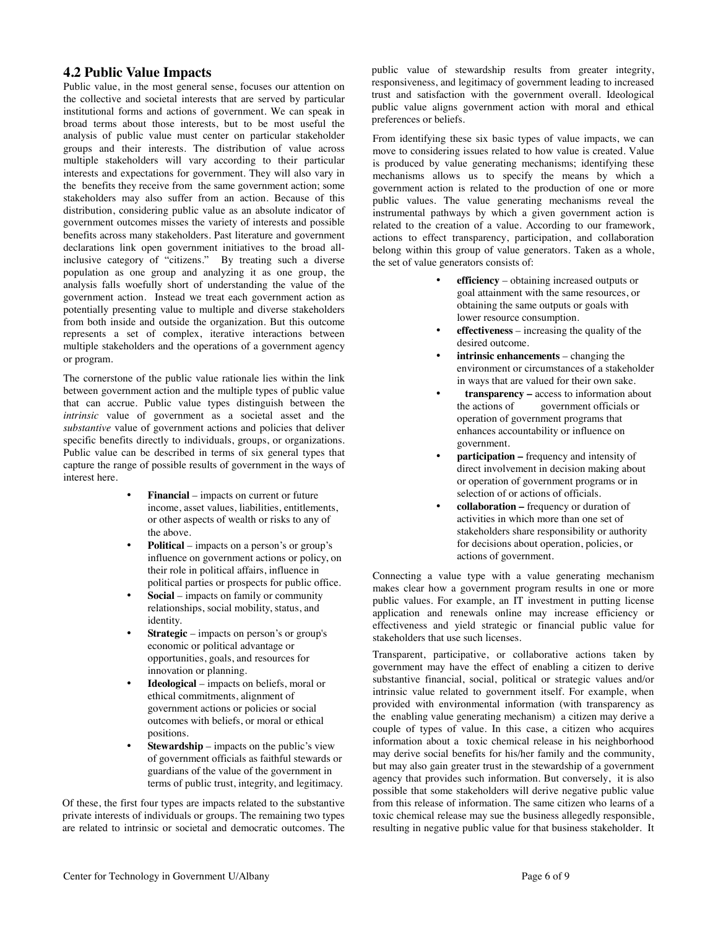### **4.2 Public Value Impacts**

Public value, in the most general sense, focuses our attention on the collective and societal interests that are served by particular institutional forms and actions of government. We can speak in broad terms about those interests, but to be most useful the analysis of public value must center on particular stakeholder groups and their interests. The distribution of value across multiple stakeholders will vary according to their particular interests and expectations for government. They will also vary in the benefits they receive from the same government action; some stakeholders may also suffer from an action. Because of this distribution, considering public value as an absolute indicator of government outcomes misses the variety of interests and possible benefits across many stakeholders. Past literature and government declarations link open government initiatives to the broad allinclusive category of "citizens." By treating such a diverse population as one group and analyzing it as one group, the analysis falls woefully short of understanding the value of the government action. Instead we treat each government action as potentially presenting value to multiple and diverse stakeholders from both inside and outside the organization. But this outcome represents a set of complex, iterative interactions between multiple stakeholders and the operations of a government agency or program.

The cornerstone of the public value rationale lies within the link between government action and the multiple types of public value that can accrue. Public value types distinguish between the *intrinsic* value of government as a societal asset and the *substantive* value of government actions and policies that deliver specific benefits directly to individuals, groups, or organizations. Public value can be described in terms of six general types that capture the range of possible results of government in the ways of interest here.

- **Financial** impacts on current or future income, asset values, liabilities, entitlements, or other aspects of wealth or risks to any of the above.
- **Political** impacts on a person's or group's influence on government actions or policy, on their role in political affairs, influence in political parties or prospects for public office.
- **Social** impacts on family or community relationships, social mobility, status, and identity.
- **Strategic** impacts on person's or group's economic or political advantage or opportunities, goals, and resources for innovation or planning.
- **Ideological** impacts on beliefs, moral or ethical commitments, alignment of government actions or policies or social outcomes with beliefs, or moral or ethical positions.
- **Stewardship** impacts on the public's view of government officials as faithful stewards or guardians of the value of the government in terms of public trust, integrity, and legitimacy.

Of these, the first four types are impacts related to the substantive private interests of individuals or groups. The remaining two types are related to intrinsic or societal and democratic outcomes. The

public value of stewardship results from greater integrity, responsiveness, and legitimacy of government leading to increased trust and satisfaction with the government overall. Ideological public value aligns government action with moral and ethical preferences or beliefs.

From identifying these six basic types of value impacts, we can move to considering issues related to how value is created. Value is produced by value generating mechanisms; identifying these mechanisms allows us to specify the means by which a government action is related to the production of one or more public values. The value generating mechanisms reveal the instrumental pathways by which a given government action is related to the creation of a value. According to our framework, actions to effect transparency, participation, and collaboration belong within this group of value generators. Taken as a whole, the set of value generators consists of:

- **efficiency** obtaining increased outputs or goal attainment with the same resources, or obtaining the same outputs or goals with lower resource consumption.
- **effectiveness** increasing the quality of the desired outcome.
- **intrinsic enhancements** changing the environment or circumstances of a stakeholder in ways that are valued for their own sake.
- **transparency** access to information about<br>the actions of government officials or government officials or operation of government programs that enhances accountability or influence on government.
- **participation** frequency and intensity of direct involvement in decision making about or operation of government programs or in selection of or actions of officials.
- **collaboration** frequency or duration of activities in which more than one set of stakeholders share responsibility or authority for decisions about operation, policies, or actions of government.

Connecting a value type with a value generating mechanism makes clear how a government program results in one or more public values. For example, an IT investment in putting license application and renewals online may increase efficiency or effectiveness and yield strategic or financial public value for stakeholders that use such licenses.

Transparent, participative, or collaborative actions taken by government may have the effect of enabling a citizen to derive substantive financial, social, political or strategic values and/or intrinsic value related to government itself. For example, when provided with environmental information (with transparency as the enabling value generating mechanism) a citizen may derive a couple of types of value. In this case, a citizen who acquires information about a toxic chemical release in his neighborhood may derive social benefits for his/her family and the community, but may also gain greater trust in the stewardship of a government agency that provides such information. But conversely, it is also possible that some stakeholders will derive negative public value from this release of information. The same citizen who learns of a toxic chemical release may sue the business allegedly responsible, resulting in negative public value for that business stakeholder. It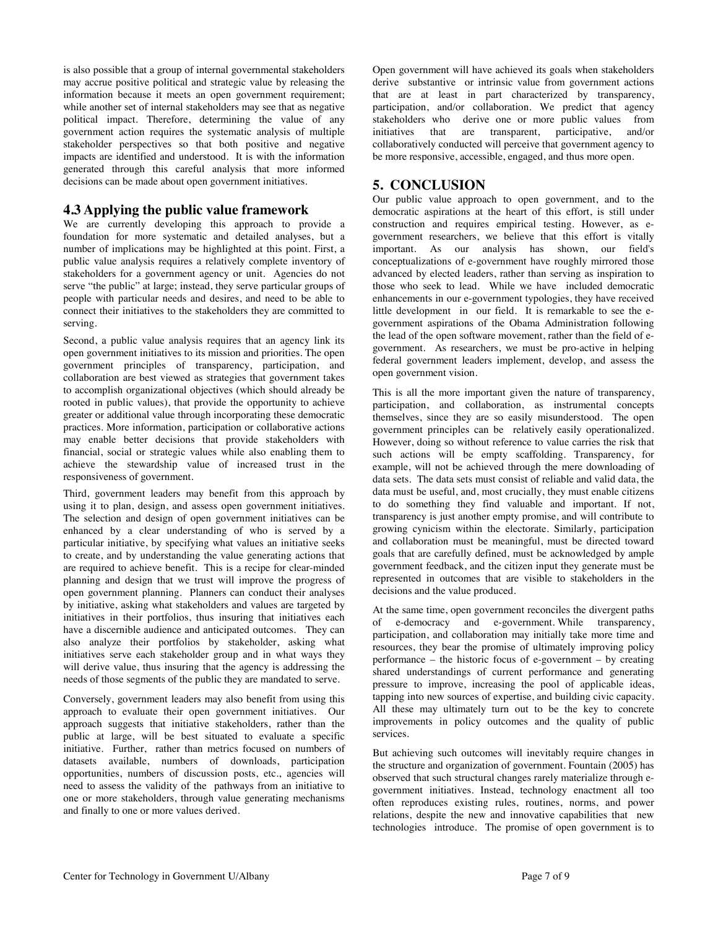is also possible that a group of internal governmental stakeholders may accrue positive political and strategic value by releasing the information because it meets an open government requirement; while another set of internal stakeholders may see that as negative political impact. Therefore, determining the value of any government action requires the systematic analysis of multiple stakeholder perspectives so that both positive and negative impacts are identified and understood. It is with the information generated through this careful analysis that more informed decisions can be made about open government initiatives.

#### **4.3 Applying the public value framework**

We are currently developing this approach to provide a foundation for more systematic and detailed analyses, but a number of implications may be highlighted at this point. First, a public value analysis requires a relatively complete inventory of stakeholders for a government agency or unit. Agencies do not serve "the public" at large; instead, they serve particular groups of people with particular needs and desires, and need to be able to connect their initiatives to the stakeholders they are committed to serving.

Second, a public value analysis requires that an agency link its open government initiatives to its mission and priorities. The open government principles of transparency, participation, and collaboration are best viewed as strategies that government takes to accomplish organizational objectives (which should already be rooted in public values), that provide the opportunity to achieve greater or additional value through incorporating these democratic practices. More information, participation or collaborative actions may enable better decisions that provide stakeholders with financial, social or strategic values while also enabling them to achieve the stewardship value of increased trust in the responsiveness of government.

Third, government leaders may benefit from this approach by using it to plan, design, and assess open government initiatives. The selection and design of open government initiatives can be enhanced by a clear understanding of who is served by a particular initiative, by specifying what values an initiative seeks to create, and by understanding the value generating actions that are required to achieve benefit. This is a recipe for clear-minded planning and design that we trust will improve the progress of open government planning. Planners can conduct their analyses by initiative, asking what stakeholders and values are targeted by initiatives in their portfolios, thus insuring that initiatives each have a discernible audience and anticipated outcomes. They can also analyze their portfolios by stakeholder, asking what initiatives serve each stakeholder group and in what ways they will derive value, thus insuring that the agency is addressing the needs of those segments of the public they are mandated to serve.

Conversely, government leaders may also benefit from using this approach to evaluate their open government initiatives. Our approach suggests that initiative stakeholders, rather than the public at large, will be best situated to evaluate a specific initiative. Further, rather than metrics focused on numbers of datasets available, numbers of downloads, participation opportunities, numbers of discussion posts, etc., agencies will need to assess the validity of the pathways from an initiative to one or more stakeholders, through value generating mechanisms and finally to one or more values derived.

Open government will have achieved its goals when stakeholders derive substantive or intrinsic value from government actions that are at least in part characterized by transparency, participation, and/or collaboration. We predict that agency stakeholders who derive one or more public values from initiatives that are transparent, participative, and/or are transparent, participative, and/or collaboratively conducted will perceive that government agency to be more responsive, accessible, engaged, and thus more open.

# **5. CONCLUSION**

Our public value approach to open government, and to the democratic aspirations at the heart of this effort, is still under construction and requires empirical testing. However, as egovernment researchers, we believe that this effort is vitally important. As our analysis has shown, our field's conceptualizations of e-government have roughly mirrored those advanced by elected leaders, rather than serving as inspiration to those who seek to lead. While we have included democratic enhancements in our e-government typologies, they have received little development in our field. It is remarkable to see the egovernment aspirations of the Obama Administration following the lead of the open software movement, rather than the field of egovernment. As researchers, we must be pro-active in helping federal government leaders implement, develop, and assess the open government vision.

This is all the more important given the nature of transparency, participation, and collaboration, as instrumental concepts themselves, since they are so easily misunderstood. The open government principles can be relatively easily operationalized. However, doing so without reference to value carries the risk that such actions will be empty scaffolding. Transparency, for example, will not be achieved through the mere downloading of data sets. The data sets must consist of reliable and valid data, the data must be useful, and, most crucially, they must enable citizens to do something they find valuable and important. If not, transparency is just another empty promise, and will contribute to growing cynicism within the electorate. Similarly, participation and collaboration must be meaningful, must be directed toward goals that are carefully defined, must be acknowledged by ample government feedback, and the citizen input they generate must be represented in outcomes that are visible to stakeholders in the decisions and the value produced.

At the same time, open government reconciles the divergent paths of e-democracy and e-government. While transparency, participation, and collaboration may initially take more time and resources, they bear the promise of ultimately improving policy performance – the historic focus of e-government – by creating shared understandings of current performance and generating pressure to improve, increasing the pool of applicable ideas, tapping into new sources of expertise, and building civic capacity. All these may ultimately turn out to be the key to concrete improvements in policy outcomes and the quality of public services.

But achieving such outcomes will inevitably require changes in the structure and organization of government. Fountain (2005) has observed that such structural changes rarely materialize through egovernment initiatives. Instead, technology enactment all too often reproduces existing rules, routines, norms, and power relations, despite the new and innovative capabilities that new technologies introduce. The promise of open government is to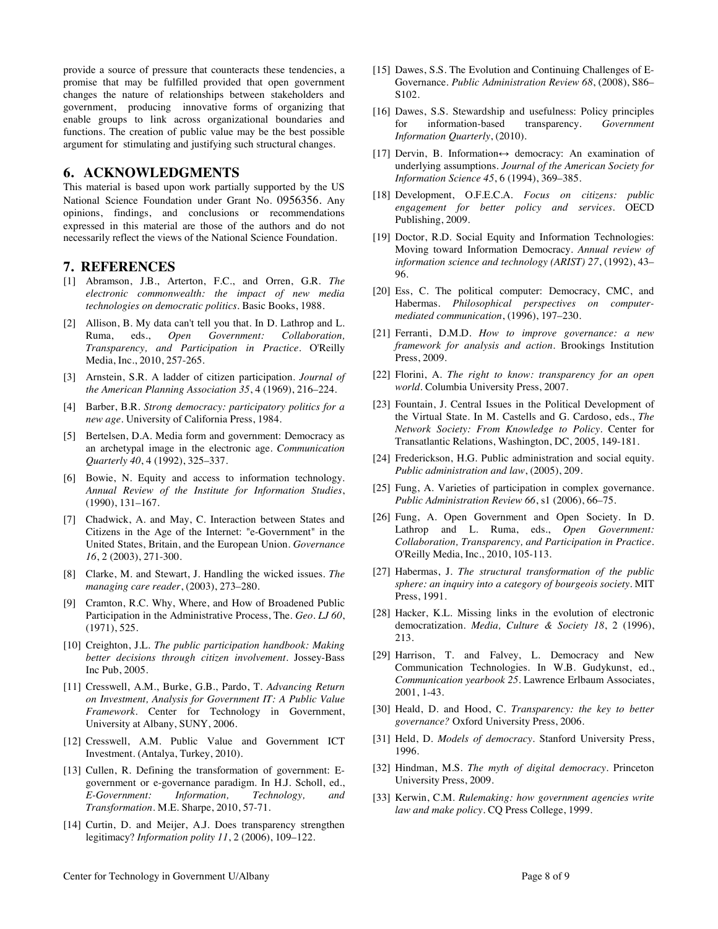provide a source of pressure that counteracts these tendencies, a promise that may be fulfilled provided that open government changes the nature of relationships between stakeholders and government, producing innovative forms of organizing that enable groups to link across organizational boundaries and functions. The creation of public value may be the best possible argument for stimulating and justifying such structural changes.

#### **6. ACKNOWLEDGMENTS**

This material is based upon work partially supported by the US National Science Foundation under Grant No. 0956356. Any opinions, findings, and conclusions or recommendations expressed in this material are those of the authors and do not necessarily reflect the views of the National Science Foundation.

#### **7. REFERENCES**

- [1] Abramson, J.B., Arterton, F.C., and Orren, G.R. *The electronic commonwealth: the impact of new media technologies on democratic politics*. Basic Books, 1988.
- [2] Allison, B. My data can't tell you that. In D. Lathrop and L.<br>Ruma, eds., Open Government: Collaboration, Ruma, eds., *Open Government: Collaboration, Transparency, and Participation in Practice*. O'Reilly Media, Inc., 2010, 257-265.
- [3] Arnstein, S.R. A ladder of citizen participation. *Journal of the American Planning Association 35*, 4 (1969), 216–224.
- [4] Barber, B.R. *Strong democracy: participatory politics for a new age*. University of California Press, 1984.
- [5] Bertelsen, D.A. Media form and government: Democracy as an archetypal image in the electronic age. *Communication Quarterly 40*, 4 (1992), 325–337.
- [6] Bowie, N. Equity and access to information technology. *Annual Review of the Institute for Information Studies*, (1990), 131–167.
- [7] Chadwick, A. and May, C. Interaction between States and Citizens in the Age of the Internet: "e-Government" in the United States, Britain, and the European Union. *Governance 16*, 2 (2003), 271-300.
- [8] Clarke, M. and Stewart, J. Handling the wicked issues. *The managing care reader*, (2003), 273–280.
- [9] Cramton, R.C. Why, Where, and How of Broadened Public Participation in the Administrative Process, The. *Geo. LJ 60*, (1971), 525.
- [10] Creighton, J.L. *The public participation handbook: Making better decisions through citizen involvement*. Jossey-Bass Inc Pub, 2005.
- [11] Cresswell, A.M., Burke, G.B., Pardo, T. *Advancing Return on Investment, Analysis for Government IT: A Public Value Framework*. Center for Technology in Government, University at Albany, SUNY, 2006.
- [12] Cresswell, A.M. Public Value and Government ICT Investment. (Antalya, Turkey, 2010).
- [13] Cullen, R. Defining the transformation of government: Egovernment or e-governance paradigm. In H.J. Scholl, ed., *E-Government: Information, Technology, and Transformation*. M.E. Sharpe, 2010, 57-71.
- [14] Curtin, D. and Meijer, A.J. Does transparency strengthen legitimacy? *Information polity 11*, 2 (2006), 109–122.
- [15] Dawes, S.S. The Evolution and Continuing Challenges of E-Governance. *Public Administration Review 68*, (2008), S86– S102.
- [16] Dawes, S.S. Stewardship and usefulness: Policy principles for information-based transparency. *Government Information Quarterly*, (2010).
- [17] Dervin, B. Information  $\leftrightarrow$  democracy: An examination of underlying assumptions. *Journal of the American Society for Information Science 45*, 6 (1994), 369–385.
- [18] Development, O.F.E.C.A. *Focus on citizens: public engagement for better policy and services*. OECD Publishing, 2009.
- [19] Doctor, R.D. Social Equity and Information Technologies: Moving toward Information Democracy. *Annual review of information science and technology (ARIST) 27*, (1992), 43– 96.
- [20] Ess, C. The political computer: Democracy, CMC, and Habermas. *Philosophical perspectives on computermediated communication*, (1996), 197–230.
- [21] Ferranti, D.M.D. *How to improve governance: a new framework for analysis and action*. Brookings Institution Press, 2009.
- [22] Florini, A. *The right to know: transparency for an open world*. Columbia University Press, 2007.
- [23] Fountain, J. Central Issues in the Political Development of the Virtual State. In M. Castells and G. Cardoso, eds., *The Network Society: From Knowledge to Policy*. Center for Transatlantic Relations, Washington, DC, 2005, 149-181.
- [24] Frederickson, H.G. Public administration and social equity. *Public administration and law*, (2005), 209.
- [25] Fung, A. Varieties of participation in complex governance. *Public Administration Review 66*, s1 (2006), 66–75.
- [26] Fung, A. Open Government and Open Society. In D. Lathrop and L. Ruma, eds., *Open Government: Collaboration, Transparency, and Participation in Practice*. O'Reilly Media, Inc., 2010, 105-113.
- [27] Habermas, J. *The structural transformation of the public sphere: an inquiry into a category of bourgeois society*. MIT Press, 1991.
- [28] Hacker, K.L. Missing links in the evolution of electronic democratization. *Media, Culture & Society 18*, 2 (1996), 213.
- [29] Harrison, T. and Falvey, L. Democracy and New Communication Technologies. In W.B. Gudykunst, ed., *Communication yearbook 25*. Lawrence Erlbaum Associates, 2001, 1-43.
- [30] Heald, D. and Hood, C. *Transparency: the key to better governance?* Oxford University Press, 2006.
- [31] Held, D. *Models of democracy*. Stanford University Press, 1996.
- [32] Hindman, M.S. *The myth of digital democracy*. Princeton University Press, 2009.
- [33] Kerwin, C.M. *Rulemaking: how government agencies write law and make policy*. CQ Press College, 1999.